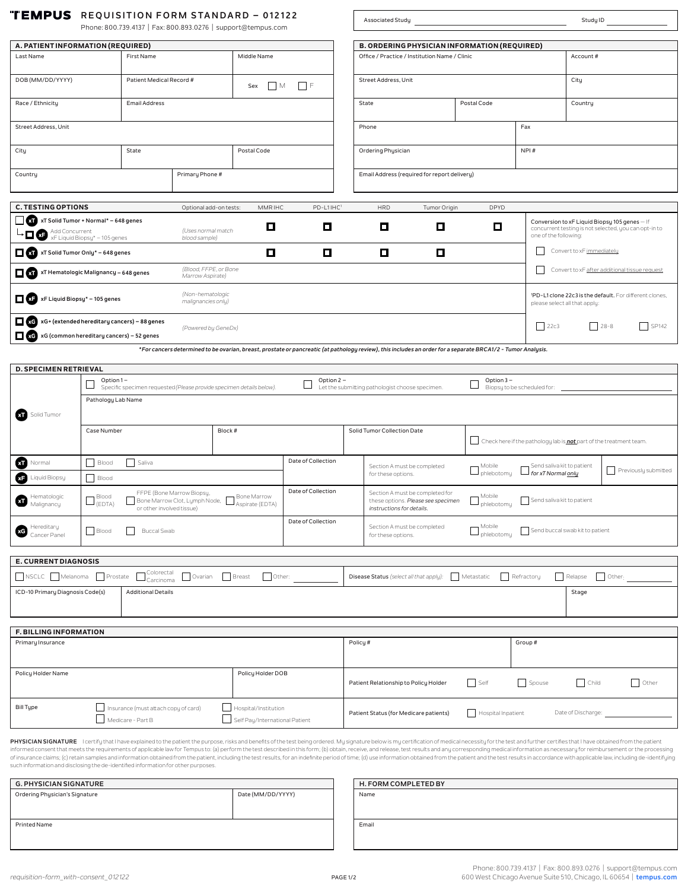| "TEMPUS REQUISITION FORM STANDARD - 012122 |  |  |  |  |
|--------------------------------------------|--|--|--|--|
|--------------------------------------------|--|--|--|--|

| KEYOTUTTUM TURIMUTANUMINU<br>Phone: 800.739.4137   Fax: 800.893.0276   support@tempus.com                                                                                                      |                                                                                                                                                                                                              |                                                           |                                           | Associated Study<br>Study ID                           |                                                                                                                                                            |                                               |                                              |                                                    |                                                          |                                                                    |                                                                                                        |               |                      |
|------------------------------------------------------------------------------------------------------------------------------------------------------------------------------------------------|--------------------------------------------------------------------------------------------------------------------------------------------------------------------------------------------------------------|-----------------------------------------------------------|-------------------------------------------|--------------------------------------------------------|------------------------------------------------------------------------------------------------------------------------------------------------------------|-----------------------------------------------|----------------------------------------------|----------------------------------------------------|----------------------------------------------------------|--------------------------------------------------------------------|--------------------------------------------------------------------------------------------------------|---------------|----------------------|
|                                                                                                                                                                                                |                                                                                                                                                                                                              |                                                           |                                           |                                                        |                                                                                                                                                            |                                               |                                              |                                                    |                                                          |                                                                    |                                                                                                        |               |                      |
| A. PATIENT INFORMATION (REQUIRED)<br><b>B. ORDERING PHYSICIAN INFORMATION (REQUIRED)</b>                                                                                                       |                                                                                                                                                                                                              |                                                           |                                           |                                                        |                                                                                                                                                            |                                               |                                              |                                                    |                                                          |                                                                    |                                                                                                        |               |                      |
| Last Name                                                                                                                                                                                      |                                                                                                                                                                                                              | First Name<br>Middle Name                                 |                                           |                                                        |                                                                                                                                                            | Office / Practice / Institution Name / Clinic |                                              |                                                    |                                                          | Account#                                                           |                                                                                                        |               |                      |
| DOB (MM/DD/YYYY)                                                                                                                                                                               |                                                                                                                                                                                                              | Patient Medical Record #                                  |                                           | Sex                                                    | F<br>$\Box$ M                                                                                                                                              |                                               | Street Address, Unit                         |                                                    |                                                          | City                                                               |                                                                                                        |               |                      |
| Race / Ethnicity                                                                                                                                                                               |                                                                                                                                                                                                              | <b>Email Address</b>                                      |                                           |                                                        |                                                                                                                                                            |                                               | State                                        |                                                    | Postal Code                                              |                                                                    | Country                                                                                                |               |                      |
| Street Address, Unit                                                                                                                                                                           |                                                                                                                                                                                                              |                                                           |                                           |                                                        |                                                                                                                                                            |                                               | Phone                                        |                                                    |                                                          | Fax                                                                |                                                                                                        |               |                      |
| City                                                                                                                                                                                           |                                                                                                                                                                                                              | State                                                     |                                           | Postal Code                                            |                                                                                                                                                            |                                               | Ordering Physician                           |                                                    |                                                          | NPI#                                                               |                                                                                                        |               |                      |
| Country                                                                                                                                                                                        |                                                                                                                                                                                                              |                                                           | Primary Phone #                           |                                                        |                                                                                                                                                            |                                               | Email Address (required for report delivery) |                                                    |                                                          |                                                                    |                                                                                                        |               |                      |
|                                                                                                                                                                                                |                                                                                                                                                                                                              |                                                           |                                           |                                                        |                                                                                                                                                            |                                               |                                              |                                                    |                                                          |                                                                    |                                                                                                        |               |                      |
| <b>C. TESTING OPTIONS</b>                                                                                                                                                                      |                                                                                                                                                                                                              |                                                           | Optional add-on tests:                    | MMR IHC                                                | PD-L1IHC1                                                                                                                                                  |                                               | <b>HRD</b>                                   | Tumor Origin                                       | <b>DPYD</b>                                              |                                                                    |                                                                                                        |               |                      |
| xT Solid Tumor + Normal* - 648 genes<br>$\blacktriangleright \prod \text{ Add Concurrent} \ \texttt{\texttt{X-F}Liquid Biopy*} - 105 \ \texttt{genes}$                                         |                                                                                                                                                                                                              |                                                           | (Uses normal match<br>blood sample)       | о                                                      | О                                                                                                                                                          |                                               | О                                            | о                                                  | O                                                        | one of the following:                                              | Conversion to xF Liquid Biopsy 105 genes - If<br>concurrent testing is not selected, you can opt-in to |               |                      |
| xT Solid Tumor Only* - 648 genes                                                                                                                                                               |                                                                                                                                                                                                              |                                                           |                                           | 口                                                      | $\Box$                                                                                                                                                     |                                               | $\Box$                                       | $\Box$                                             |                                                          |                                                                    | Convert to xF immediately                                                                              |               |                      |
| XT Hematologic Malignancy - 648 genes                                                                                                                                                          |                                                                                                                                                                                                              |                                                           | (Blood, FFPE, or Bone<br>Marrow Aspirate) |                                                        |                                                                                                                                                            |                                               |                                              |                                                    |                                                          |                                                                    | Convert to xF after additional tissue request                                                          |               |                      |
| XF xF Liquid Biopsy* - 105 genes                                                                                                                                                               |                                                                                                                                                                                                              |                                                           | (Non-hematologic<br>malignancies only)    |                                                        |                                                                                                                                                            |                                               |                                              |                                                    |                                                          |                                                                    | 1PD-L1 clone 22c3 is the default. For different clones,<br>please select all that apply:               |               |                      |
| xG xG+ (extended hereditary cancers) - 88 genes                                                                                                                                                |                                                                                                                                                                                                              |                                                           | (Powered by GeneDx)                       |                                                        |                                                                                                                                                            |                                               |                                              |                                                    |                                                          | 22c3                                                               | $28 - 8$                                                                                               |               | $\frac{1}{2}$ SP142  |
|                                                                                                                                                                                                | xG xG (common hereditary cancers) - 52 genes<br>*For cancers determined to be ovarian, breast, prostate or pancreatic (at pathology review), this includes an order for a separate BRCA1/2 - Tumor Analysis. |                                                           |                                           |                                                        |                                                                                                                                                            |                                               |                                              |                                                    |                                                          |                                                                    |                                                                                                        |               |                      |
|                                                                                                                                                                                                |                                                                                                                                                                                                              |                                                           |                                           |                                                        |                                                                                                                                                            |                                               |                                              |                                                    |                                                          |                                                                    |                                                                                                        |               |                      |
| <b>D. SPECIMEN RETRIEVAL</b>                                                                                                                                                                   |                                                                                                                                                                                                              |                                                           |                                           |                                                        |                                                                                                                                                            |                                               |                                              |                                                    |                                                          |                                                                    |                                                                                                        |               |                      |
| Option 1-<br>Option 2 -<br>Option 3-<br>Specific specimen requested (Please provide specimen details below).<br>Let the submitting pathologist choose specimen.<br>Biopsy to be scheduled for: |                                                                                                                                                                                                              |                                                           |                                           |                                                        |                                                                                                                                                            |                                               |                                              |                                                    |                                                          |                                                                    |                                                                                                        |               |                      |
|                                                                                                                                                                                                | Pathology Lab Name                                                                                                                                                                                           |                                                           |                                           |                                                        |                                                                                                                                                            |                                               |                                              |                                                    |                                                          |                                                                    |                                                                                                        |               |                      |
| <b>XII</b> Solid Tumor                                                                                                                                                                         |                                                                                                                                                                                                              |                                                           |                                           |                                                        |                                                                                                                                                            |                                               |                                              |                                                    |                                                          |                                                                    |                                                                                                        |               |                      |
| Block #<br>Solid Tumor Collection Date<br>Case Number                                                                                                                                          |                                                                                                                                                                                                              |                                                           |                                           |                                                        |                                                                                                                                                            |                                               |                                              |                                                    |                                                          |                                                                    |                                                                                                        |               |                      |
|                                                                                                                                                                                                |                                                                                                                                                                                                              |                                                           |                                           |                                                        |                                                                                                                                                            |                                               |                                              |                                                    |                                                          | Check here if the pathology lab is not part of the treatment team. |                                                                                                        |               |                      |
| <b>OD</b> Normal                                                                                                                                                                               | Blood                                                                                                                                                                                                        | Saliva                                                    |                                           |                                                        | Date of Collection                                                                                                                                         |                                               |                                              | Section A must be completed                        | Mobile                                                   | Send saliva kit to patient                                         |                                                                                                        |               |                      |
| Ð<br>Liquid Biopsy                                                                                                                                                                             | Blood                                                                                                                                                                                                        |                                                           |                                           |                                                        |                                                                                                                                                            |                                               | for these options.                           |                                                    | $\mathord{\hspace{1pt}\text{--}\hspace{1pt}}$ phlebotomy | for xT Normal <u>only</u>                                          |                                                                                                        |               | Previously submitted |
| Hematologic<br>Malignancy                                                                                                                                                                      | Date of Collection<br>FFPE (Bone Marrow Biopsy,<br>Blood<br>Bone Marrow<br>Bone Marrow Clot, Lymph Node,<br>$\sqcup$ (EDTA)<br>Aspirate (EDTA)<br>or other involved tissue)                                  |                                                           |                                           |                                                        | Section A must be completed for<br>Mobile<br>Send saliva kit to patient<br>these options. Please see specimen<br>phlebotomy L<br>instructions for details. |                                               |                                              |                                                    |                                                          |                                                                    |                                                                                                        |               |                      |
| Date of Collection<br>Hereditary<br>Cancer Panel<br>Blood<br><b>Buccal Swab</b>                                                                                                                |                                                                                                                                                                                                              |                                                           | for these options.                        | Section A must be completed                            | Mobile<br>$\mathord{\!\! \!\! \!\! \!\!}\hspace{0.1cm}$ phlebotomy                                                                                         | Send buccal swab kit to patient               |                                              |                                                    |                                                          |                                                                    |                                                                                                        |               |                      |
|                                                                                                                                                                                                |                                                                                                                                                                                                              |                                                           |                                           |                                                        |                                                                                                                                                            |                                               |                                              |                                                    |                                                          |                                                                    |                                                                                                        |               |                      |
| <b>E. CURRENT DIAGNOSIS</b>                                                                                                                                                                    |                                                                                                                                                                                                              |                                                           |                                           |                                                        |                                                                                                                                                            |                                               |                                              |                                                    |                                                          |                                                                    |                                                                                                        |               |                      |
| NSCLC Melanoma Prostate                                                                                                                                                                        |                                                                                                                                                                                                              | Colorectal<br>Carcinoma                                   |                                           | Ovarian Breast<br>Other:                               |                                                                                                                                                            |                                               |                                              | Disease Status (select all that apply): Metastatic |                                                          | Refractory                                                         | Relapse                                                                                                | $\Box$ Other: |                      |
| ICD-10 Primary Diagnosis Code(s)<br><b>Additional Details</b><br>Stage                                                                                                                         |                                                                                                                                                                                                              |                                                           |                                           |                                                        |                                                                                                                                                            |                                               |                                              |                                                    |                                                          |                                                                    |                                                                                                        |               |                      |
|                                                                                                                                                                                                |                                                                                                                                                                                                              |                                                           |                                           |                                                        |                                                                                                                                                            |                                               |                                              |                                                    |                                                          |                                                                    |                                                                                                        |               |                      |
| <b>F. BILLING INFORMATION</b><br>Primary Insurance                                                                                                                                             |                                                                                                                                                                                                              |                                                           |                                           |                                                        |                                                                                                                                                            |                                               |                                              |                                                    |                                                          |                                                                    |                                                                                                        |               |                      |
| Policy#<br>Group#                                                                                                                                                                              |                                                                                                                                                                                                              |                                                           |                                           |                                                        |                                                                                                                                                            |                                               |                                              |                                                    |                                                          |                                                                    |                                                                                                        |               |                      |
| Policy Holder Name                                                                                                                                                                             |                                                                                                                                                                                                              |                                                           |                                           | Policy Holder DOB                                      |                                                                                                                                                            |                                               | Patient Relationship to Policy Holder        |                                                    | Self                                                     | Spouse                                                             | $\vert$ Child                                                                                          |               | Other                |
| <b>Bill Type</b>                                                                                                                                                                               |                                                                                                                                                                                                              | Insurance (must attach copy of card)<br>Medicare - Part B |                                           | Hospital/Institution<br>Self Pay/International Patient |                                                                                                                                                            |                                               | Patient Status (for Medicare patients)       |                                                    | Hospital Inpatient                                       |                                                                    | Date of Discharge:                                                                                     |               |                      |
|                                                                                                                                                                                                |                                                                                                                                                                                                              |                                                           |                                           |                                                        |                                                                                                                                                            |                                               |                                              |                                                    |                                                          |                                                                    |                                                                                                        |               |                      |

**PHYSICIAN SIGNATURE** I certify that have explained to the patient the purpose, risks and benefits of the test being ordered. My signature below is my certification of medical necessity for the test and further certifies t such information and disclosing the de-identified information for other purposes.

| <b>G. PHYSICIAN SIGNATURE</b>  |                   |
|--------------------------------|-------------------|
| Ordering Physician's Signature | Date (MM/DD/YYYY) |
|                                |                   |
|                                |                   |
| <b>Printed Name</b>            |                   |
|                                |                   |

| H. FORM COMPLETED BY |  |  |
|----------------------|--|--|
| Name                 |  |  |
|                      |  |  |
|                      |  |  |
| Email                |  |  |
|                      |  |  |